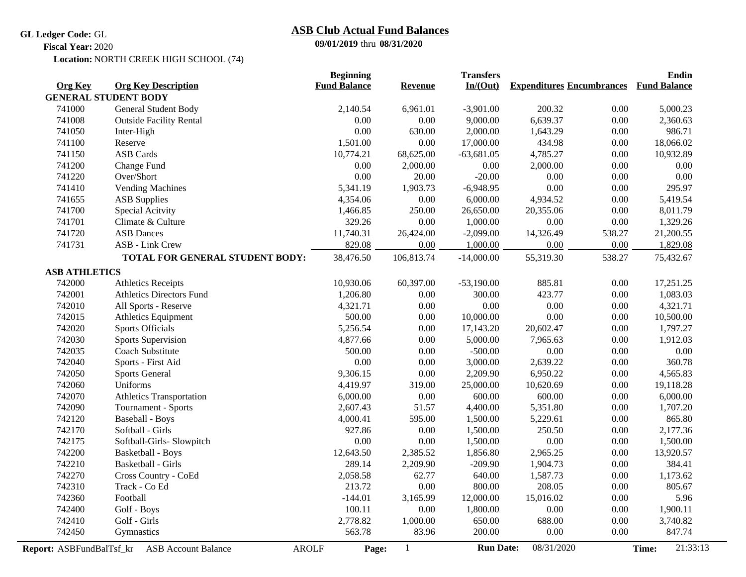#### **GL Ledger Code:** GL

# **09/01/2019** thru **08/31/2020 ASB Club Actual Fund Balances**

**Fiscal Year:** 2020

Location: NORTH CREEK HIGH SCHOOL (74)

|                          |                                 | <b>Beginning</b>      |                | <b>Transfers</b> |                                  |        | <b>Endin</b>        |  |
|--------------------------|---------------------------------|-----------------------|----------------|------------------|----------------------------------|--------|---------------------|--|
| <b>Org Key</b>           | <b>Org Key Description</b>      | <b>Fund Balance</b>   | <b>Revenue</b> | In/(Out)         | <b>Expenditures Encumbrances</b> |        | <b>Fund Balance</b> |  |
|                          | <b>GENERAL STUDENT BODY</b>     |                       |                |                  |                                  |        |                     |  |
| 741000                   | General Student Body            | 2,140.54              | 6,961.01       | $-3,901.00$      | 200.32                           | 0.00   | 5,000.23            |  |
| 741008                   | <b>Outside Facility Rental</b>  | 0.00                  | 0.00           | 9,000.00         | 6,639.37                         | 0.00   | 2,360.63            |  |
| 741050                   | Inter-High                      | 0.00                  | 630.00         | 2,000.00         | 1,643.29                         | 0.00   | 986.71              |  |
| 741100                   | Reserve                         | 1,501.00              | 0.00           | 17,000.00        | 434.98                           | 0.00   | 18,066.02           |  |
| 741150                   | <b>ASB</b> Cards                | 10,774.21             | 68,625.00      | $-63,681.05$     | 4,785.27                         | 0.00   | 10,932.89           |  |
| 741200                   | Change Fund                     | 0.00                  | 2,000.00       | 0.00             | 2,000.00                         | 0.00   | 0.00                |  |
| 741220                   | Over/Short                      | 0.00                  | 20.00          | $-20.00$         | 0.00                             | 0.00   | 0.00                |  |
| 741410                   | <b>Vending Machines</b>         | 5,341.19              | 1,903.73       | $-6,948.95$      | 0.00                             | 0.00   | 295.97              |  |
| 741655                   | <b>ASB</b> Supplies             | 4,354.06              | 0.00           | 6,000.00         | 4,934.52                         | 0.00   | 5,419.54            |  |
| 741700                   | Special Acitvity                | 1,466.85              | 250.00         | 26,650.00        | 20,355.06                        | 0.00   | 8,011.79            |  |
| 741701                   | Climate & Culture               | 329.26                | 0.00           | 1,000.00         | 0.00                             | 0.00   | 1,329.26            |  |
| 741720                   | <b>ASB</b> Dances               | 11,740.31             | 26,424.00      | $-2,099.00$      | 14,326.49                        | 538.27 | 21,200.55           |  |
| 741731                   | ASB - Link Crew                 | 829.08                | 0.00           | 1,000.00         | 0.00                             | 0.00   | 1,829.08            |  |
|                          | TOTAL FOR GENERAL STUDENT BODY: | 38,476.50             | 106,813.74     | $-14,000.00$     | 55,319.30                        | 538.27 | 75,432.67           |  |
| <b>ASB ATHLETICS</b>     |                                 |                       |                |                  |                                  |        |                     |  |
| 742000                   | <b>Athletics Receipts</b>       | 10,930.06             | 60,397.00      | $-53,190.00$     | 885.81                           | 0.00   | 17,251.25           |  |
| 742001                   | <b>Athletics Directors Fund</b> | 1,206.80              | 0.00           | 300.00           | 423.77                           | 0.00   | 1,083.03            |  |
| 742010                   | All Sports - Reserve            | 4,321.71              | 0.00           | 0.00             | 0.00                             | 0.00   | 4,321.71            |  |
| 742015                   | Athletics Equipment             | 500.00                | 0.00           | 10,000.00        | 0.00                             | 0.00   | 10,500.00           |  |
| 742020                   | Sports Officials                | 5,256.54              | 0.00           | 17,143.20        | 20,602.47                        | 0.00   | 1,797.27            |  |
| 742030                   | Sports Supervision              | 4,877.66              | 0.00           | 5,000.00         | 7,965.63                         | 0.00   | 1,912.03            |  |
| 742035                   | Coach Substitute                | 500.00                | 0.00           | $-500.00$        | 0.00                             | 0.00   | $0.00\,$            |  |
| 742040                   | Sports - First Aid              | 0.00                  | 0.00           | 3,000.00         | 2,639.22                         | 0.00   | 360.78              |  |
| 742050                   | <b>Sports General</b>           | 9,306.15              | 0.00           | 2,209.90         | 6,950.22                         | 0.00   | 4,565.83            |  |
| 742060                   | Uniforms                        | 4,419.97              | 319.00         | 25,000.00        | 10,620.69                        | 0.00   | 19,118.28           |  |
| 742070                   | Athletics Transportation        | 6,000.00              | 0.00           | 600.00           | 600.00                           | 0.00   | 6,000.00            |  |
| 742090                   | Tournament - Sports             | 2,607.43              | 51.57          | 4,400.00         | 5,351.80                         | 0.00   | 1,707.20            |  |
| 742120                   | <b>Baseball - Boys</b>          | 4,000.41              | 595.00         | 1,500.00         | 5,229.61                         | 0.00   | 865.80              |  |
| 742170                   | Softball - Girls                | 927.86                | 0.00           | 1,500.00         | 250.50                           | 0.00   | 2,177.36            |  |
| 742175                   | Softball-Girls- Slowpitch       | 0.00                  | 0.00           | 1,500.00         | 0.00                             | 0.00   | 1,500.00            |  |
| 742200                   | Basketball - Boys               | 12,643.50             | 2,385.52       | 1,856.80         | 2,965.25                         | 0.00   | 13,920.57           |  |
| 742210                   | Basketball - Girls              | 289.14                | 2,209.90       | $-209.90$        | 1,904.73                         | 0.00   | 384.41              |  |
| 742270                   | Cross Country - CoEd            | 2,058.58              | 62.77          | 640.00           | 1,587.73                         | 0.00   | 1,173.62            |  |
| 742310                   | Track - Co Ed                   | 213.72                | 0.00           | 800.00           | 208.05                           | 0.00   | 805.67              |  |
| 742360                   | Football                        | $-144.01$             | 3,165.99       | 12,000.00        | 15,016.02                        | 0.00   | 5.96                |  |
| 742400                   | Golf - Boys                     | 100.11                | 0.00           | 1,800.00         | 0.00                             | 0.00   | 1,900.11            |  |
| 742410                   | Golf - Girls                    | 2,778.82              | 1,000.00       | 650.00           | 688.00                           | 0.00   | 3,740.82            |  |
| 742450                   | Gymnastics                      | 563.78                | 83.96          | 200.00           | 0.00                             | 0.00   | 847.74              |  |
| Report: ASBFundBalTsf_kr | <b>ASB Account Balance</b>      | <b>AROLF</b><br>Page: | $\mathbf{1}$   | <b>Run Date:</b> | 08/31/2020                       |        | 21:33:13<br>Time:   |  |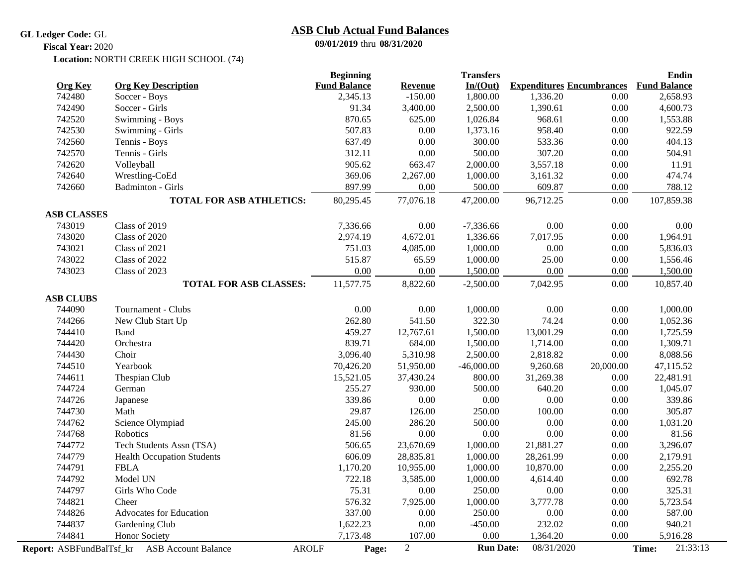#### **GL Ledger Code:** GL

# **ASB Club Actual Fund Balances**

**09/01/2019** thru **08/31/2020**

#### Location: NORTH CREEK HIGH SCHOOL (74) **Fiscal Year:** 2020

|                    |                                                              | <b>Beginning</b>    |            | <b>Transfers</b> |                                  |           | <b>Endin</b>        |
|--------------------|--------------------------------------------------------------|---------------------|------------|------------------|----------------------------------|-----------|---------------------|
| <b>Org Key</b>     | <b>Org Key Description</b>                                   | <b>Fund Balance</b> | Revenue    | In/(Out)         | <b>Expenditures Encumbrances</b> |           | <b>Fund Balance</b> |
| 742480             | Soccer - Boys                                                | 2,345.13            | $-150.00$  | 1,800.00         | 1,336.20                         | 0.00      | 2,658.93            |
| 742490             | Soccer - Girls                                               | 91.34               | 3,400.00   | 2,500.00         | 1,390.61                         | 0.00      | 4,600.73            |
| 742520             | Swimming - Boys                                              | 870.65              | 625.00     | 1,026.84         | 968.61                           | 0.00      | 1,553.88            |
| 742530             | Swimming - Girls                                             | 507.83              | 0.00       | 1,373.16         | 958.40                           | 0.00      | 922.59              |
| 742560             | Tennis - Boys                                                | 637.49              | 0.00       | 300.00           | 533.36                           | 0.00      | 404.13              |
| 742570             | Tennis - Girls                                               | 312.11              | 0.00       | 500.00           | 307.20                           | 0.00      | 504.91              |
| 742620             | Volleyball                                                   | 905.62              | 663.47     | 2,000.00         | 3,557.18                         | 0.00      | 11.91               |
| 742640             | Wrestling-CoEd                                               | 369.06              | 2,267.00   | 1,000.00         | 3,161.32                         | $0.00\,$  | 474.74              |
| 742660             | <b>Badminton - Girls</b>                                     | 897.99              | 0.00       | 500.00           | 609.87                           | 0.00      | 788.12              |
|                    | <b>TOTAL FOR ASB ATHLETICS:</b>                              | 80,295.45           | 77,076.18  | 47,200.00        | 96,712.25                        | 0.00      | 107,859.38          |
| <b>ASB CLASSES</b> |                                                              |                     |            |                  |                                  |           |                     |
| 743019             | Class of 2019                                                | 7,336.66            | 0.00       | $-7,336.66$      | 0.00                             | 0.00      | 0.00                |
| 743020             | Class of 2020                                                | 2,974.19            | 4,672.01   | 1,336.66         | 7,017.95                         | 0.00      | 1,964.91            |
| 743021             | Class of 2021                                                | 751.03              | 4,085.00   | 1,000.00         | 0.00                             | 0.00      | 5,836.03            |
| 743022             | Class of 2022                                                | 515.87              | 65.59      | 1,000.00         | 25.00                            | 0.00      | 1,556.46            |
| 743023             | Class of 2023                                                | 0.00                | 0.00       | 1,500.00         | 0.00                             | 0.00      | 1,500.00            |
|                    | <b>TOTAL FOR ASB CLASSES:</b>                                | 11,577.75           | 8,822.60   | $-2.500.00$      | 7,042.95                         | 0.00      | 10,857.40           |
| <b>ASB CLUBS</b>   |                                                              |                     |            |                  |                                  |           |                     |
| 744090             | Tournament - Clubs                                           | 0.00                | 0.00       | 1,000.00         | 0.00                             | 0.00      | 1,000.00            |
| 744266             | New Club Start Up                                            | 262.80              | 541.50     | 322.30           | 74.24                            | 0.00      | 1,052.36            |
| 744410             | Band                                                         | 459.27              | 12,767.61  | 1,500.00         | 13,001.29                        | 0.00      | 1,725.59            |
| 744420             | Orchestra                                                    | 839.71              | 684.00     | 1,500.00         | 1,714.00                         | 0.00      | 1,309.71            |
| 744430             | Choir                                                        | 3,096.40            | 5,310.98   | 2,500.00         | 2,818.82                         | 0.00      | 8,088.56            |
| 744510             | Yearbook                                                     | 70,426.20           | 51,950.00  | $-46,000.00$     | 9,260.68                         | 20,000.00 | 47,115.52           |
| 744611             | Thespian Club                                                | 15,521.05           | 37,430.24  | 800.00           | 31,269.38                        | 0.00      | 22,481.91           |
| 744724             | German                                                       | 255.27              | 930.00     | 500.00           | 640.20                           | 0.00      | 1,045.07            |
| 744726             | Japanese                                                     | 339.86              | 0.00       | $0.00\,$         | 0.00                             | 0.00      | 339.86              |
| 744730             | Math                                                         | 29.87               | 126.00     | 250.00           | 100.00                           | 0.00      | 305.87              |
| 744762             | Science Olympiad                                             | 245.00              | 286.20     | 500.00           | 0.00                             | 0.00      | 1,031.20            |
| 744768             | Robotics                                                     | 81.56               | 0.00       | 0.00             | 0.00                             | 0.00      | 81.56               |
| 744772             | Tech Students Assn (TSA)                                     | 506.65              | 23,670.69  | 1,000.00         | 21,881.27                        | 0.00      | 3,296.07            |
| 744779             | <b>Health Occupation Students</b>                            | 606.09              | 28,835.81  | 1,000.00         | 28,261.99                        | 0.00      | 2,179.91            |
| 744791             | <b>FBLA</b>                                                  | 1,170.20            | 10,955.00  | 1,000.00         | 10,870.00                        | 0.00      | 2,255.20            |
| 744792             | Model UN                                                     | 722.18              | 3,585.00   | 1,000.00         | 4,614.40                         | 0.00      | 692.78              |
| 744797             | Girls Who Code                                               | 75.31               | 0.00       | 250.00           | 0.00                             | 0.00      | 325.31              |
| 744821             | Cheer                                                        | 576.32              | 7,925.00   | 1,000.00         | 3,777.78                         | 0.00      | 5,723.54            |
| 744826             | <b>Advocates for Education</b>                               | 337.00              | 0.00       | 250.00           | 0.00                             | 0.00      | 587.00              |
| 744837             | Gardening Club                                               | 1,622.23            | 0.00       | $-450.00$        | 232.02                           | 0.00      | 940.21              |
| 744841             | Honor Society                                                | 7,173.48            | 107.00     | 0.00             | 1,364.20                         | 0.00      | 5,916.28            |
|                    | <b>AROLF</b><br>Report: ASBFundBalTsf_kr ASB Account Balance | Page:               | $\sqrt{2}$ | <b>Run Date:</b> | 08/31/2020                       |           | 21:33:13<br>Time:   |